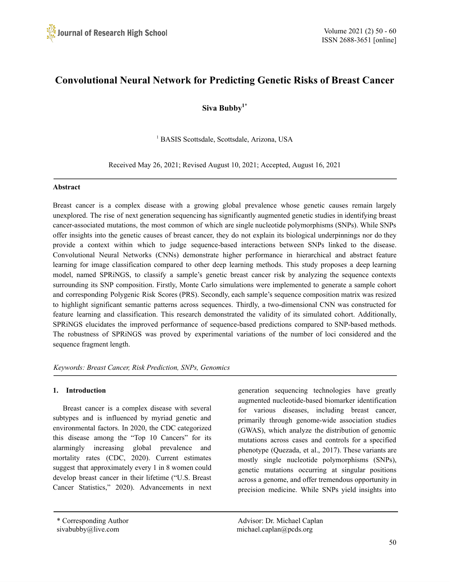

# **Convolutional Neural Network for Predicting Genetic Risks of Breast Cancer**

**Siva Bubby 1\***

<sup>1</sup> BASIS Scottsdale, Scottsdale, Arizona, USA

Received May 26, 2021; Revised August 10, 2021; Accepted, August 16, 2021

# **Abstract**

Breast cancer is a complex disease with a growing global prevalence whose genetic causes remain largely unexplored. The rise of next generation sequencing has significantly augmented genetic studies in identifying breast cancer-associated mutations, the most common of which are single nucleotide polymorphisms (SNPs). While SNPs offer insights into the genetic causes of breast cancer, they do not explain its biological underpinnings nor do they provide a context within which to judge sequence-based interactions between SNPs linked to the disease. Convolutional Neural Networks (CNNs) demonstrate higher performance in hierarchical and abstract feature learning for image classification compared to other deep learning methods. This study proposes a deep learning model, named SPRiNGS, to classify a sample's genetic breast cancer risk by analyzing the sequence contexts surrounding its SNP composition. Firstly, Monte Carlo simulations were implemented to generate a sample cohort and corresponding Polygenic Risk Scores (PRS). Secondly, each sample's sequence composition matrix was resized to highlight significant semantic patterns across sequences. Thirdly, a two-dimensional CNN was constructed for feature learning and classification. This research demonstrated the validity of its simulated cohort. Additionally, SPRiNGS elucidates the improved performance of sequence-based predictions compared to SNP-based methods. The robustness of SPRiNGS was proved by experimental variations of the number of loci considered and the sequence fragment length.

*Keywords: Breast Cancer, Risk Prediction, SNPs, Genomics*

# **1. Introduction**

Breast cancer is a complex disease with several subtypes and is influenced by myriad genetic and environmental factors. In 2020, the CDC categorized this disease among the "Top 10 Cancers" for its alarmingly increasing global prevalence and mortality rates (CDC, 2020). Current estimates suggest that approximately every 1 in 8 women could develop breast cancer in their lifetime ("U.S. Breast Cancer Statistics," 2020). Advancements in next

generation sequencing technologies have greatly augmented nucleotide-based biomarker identification for various diseases, including breast cancer, primarily through genome-wide association studies (GWAS), which analyze the distribution of genomic mutations across cases and controls for a specified phenotype (Quezada, et al., 2017). These variants are mostly single nucleotide polymorphisms (SNPs), genetic mutations occurring at singular positions across a genome, and offer tremendous opportunity in precision medicine. While SNPs yield insights into

\* Corresponding Author Advisor: Dr. Michael Caplan sivabubby@live.com michael.caplan@pcds.org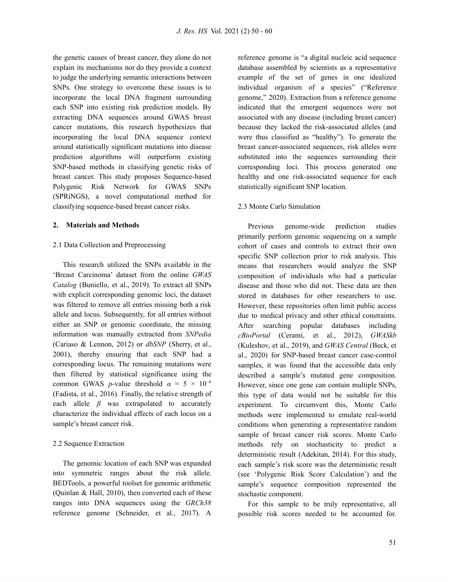the genetic causes of breast cancer, they alone do not explain its mechanisms nor do they provide a context to judge the underlying semantic interactions between SNPs. One strategy to overcome these issues is to incorporate the local DNA fragment surrounding each SNP into existing risk prediction models. By extracting DNA sequences around GWAS breast cancer mutations, this research hypothesizes that incorporating the local DNA sequence context around statistically significant mutations into disease prediction algorithms will outperform existing SNP-based methods in classifying genetic risks of breast cancer. This study proposes Sequence-based Polygenic Risk Network for GWAS SNPs (SPRiNGS), a novel computational method for classifying sequence-based breast cancer risks.

#### **2. Materials and Methods**

# 2.1 Data Collection and Preprocessing

This research utilized the SNPs available in the 'Breast Carcinoma' dataset from the online *GWAS Catalog* (Buniello, et al., 2019). To extract all SNPs with explicit corresponding genomic loci, the dataset was filtered to remove all entries missing both a risk allele and locus. Subsequently, for all entries without either an SNP or genomic coordinate, the missing information was manually extracted from *SNPedia* (Cariaso & Lennon, 2012) or *dbSNP* (Sherry, et al., 2001), thereby ensuring that each SNP had a corresponding locus. The remaining mutations were then filtered by statistical significance using the common GWAS *p*-value threshold  $\alpha = 5 \times 10^{-8}$ (Fadista, et al., 2016). Finally, the relative strength of each allele  $\beta$  was extrapolated to accurately characterize the individual effects of each locus on a sample's breast cancer risk.

# 2.2 Sequence Extraction

The genomic location of each SNP was expanded into symmetric ranges about the risk allele. BEDTools, a powerful toolset for genomic arithmetic (Quinlan & Hall, 2010), then converted each of these ranges into DNA sequences using the *GRCh38* reference genome (Schneider, et al., 2017). A

reference genome is "a digital nucleic acid sequence database assembled by scientists as a representative example of the set of genes in one idealized individual organism of a species" ("Reference genome," 2020). Extraction from a reference genome indicated that the emergent sequences were not associated with any disease (including breast cancer) because they lacked the risk-associated alleles (and were thus classified as "healthy"). To generate the breast cancer-associated sequences, risk alleles were substituted into the sequences surrounding their corresponding loci. This process generated one healthy and one risk-associated sequence for each statistically significant SNP location.

# 2.3 Monte Carlo Simulation

Previous genome-wide prediction studies primarily perform genomic sequencing on a sample cohort of cases and controls to extract their own specific SNP collection prior to risk analysis. This means that researchers would analyze the SNP composition of individuals who had a particular disease and those who did not. These data are then stored in databases for other researchers to use. However, these repositories often limit public access due to medical privacy and other ethical constraints. After searching popular databases including *cBioPortal* (Cerami, et al., 2012), *GWASkb* (Kuleshov, et al., 2019), and *GWAS Central* (Beck, et al., 2020) for SNP-based breast cancer case-control samples, it was found that the accessible data only described a sample's mutated gene composition. However, since one gene can contain multiple SNPs, this type of data would not be suitable for this experiment. To circumvent this, Monte Carlo methods were implemented to emulate real-world conditions when generating a representative random sample of breast cancer risk scores. Monte Carlo methods rely on stochasticity to predict a deterministic result (Adekitan, 2014). For this study, each sample's risk score was the deterministic result (see 'Polygenic Risk Score Calculation') and the sample's sequence composition represented the stochastic component.

For this sample to be truly representative, all possible risk scores needed to be accounted for.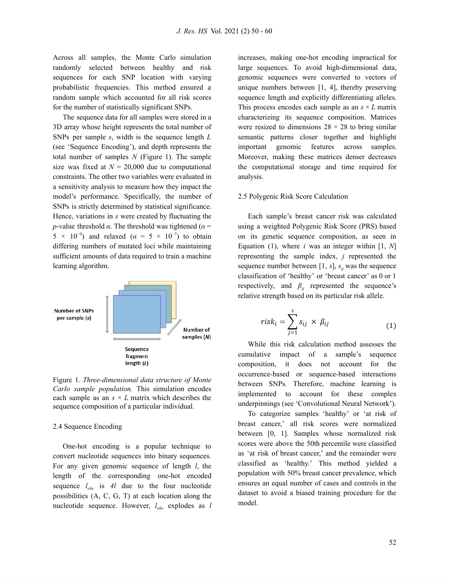Across all samples, the Monte Carlo simulation randomly selected between healthy and risk sequences for each SNP location with varying probabilistic frequencies. This method ensured a random sample which accounted for all risk scores for the number of statistically significant SNPs.

The sequence data for all samples were stored in a 3D array whose height represents the total number of SNPs per sample *s*, width is the sequence length *L* (see 'Sequence Encoding'), and depth represents the total number of samples *N* (Figure 1). The sample size was fixed at  $N = 20,000$  due to computational constraints. The other two variables were evaluated in a sensitivity analysis to measure how they impact the model's performance. Specifically, the number of SNPs is strictly determined by statistical significance. Hence, variations in *s* were created by fluctuating the *p*-value threshold  $\alpha$ . The threshold was tightened ( $\alpha$  =  $5 \times 10^{-9}$ ) and relaxed ( $\alpha = 5 \times 10^{-7}$ ) to obtain differing numbers of mutated loci while maintaining sufficient amounts of data required to train a machine learning algorithm.



Figure 1. *Three-dimensional data structure of Monte Carlo sample population.* This simulation encodes each sample as an  $s \times L$  matrix which describes the sequence composition of a particular individual.

#### 2.4 Sequence Encoding

One-hot encoding is a popular technique to convert nucleotide sequences into binary sequences. For any given genomic sequence of length *l*, the length of the corresponding one-hot encoded sequence  $l_{\alpha}$  is 4*l* due to the four nucleotide possibilities (A, C, G, T) at each location along the nucleotide sequence. However, *lohe* explodes as *l* increases, making one-hot encoding impractical for large sequences. To avoid high-dimensional data, genomic sequences were converted to vectors of unique numbers between [1, 4], thereby preserving sequence length and explicitly differentiating alleles. This process encodes each sample as an  $s \times L$  matrix characterizing its sequence composition. Matrices were resized to dimensions  $28 \times 28$  to bring similar semantic patterns closer together and highlight important genomic features across samples. Moreover, making these matrices denser decreases the computational storage and time required for analysis.

#### 2.5 Polygenic Risk Score Calculation

Each sample's breast cancer risk was calculated using a weighted Polygenic Risk Score (PRS) based on its genetic sequence composition, as seen in Equation (1), where *i* was an integer within [1, *N*] representing the sample index, *j* represented the sequence number between [1,  $s$ ],  $s_{ij}$  was the sequence classification of 'healthy' or 'breast cancer' as 0 or 1 respectively, and  $\beta_{ii}$  represented the sequence's relative strength based on its particular risk allele.

$$
risk_i = \sum_{j=1}^s s_{ij} \times \beta_{ij}
$$
 (1)

While this risk calculation method assesses the cumulative impact of a sample's sequence composition, it does not account for the occurrence-based or sequence-based interactions between SNPs. Therefore, machine learning is implemented to account for these complex underpinnings (see 'Convolutional Neural Network').

To categorize samples 'healthy' or 'at risk of breast cancer,' all risk scores were normalized between [0, 1]. Samples whose normalized risk scores were above the 50th percentile were classified as 'at risk of breast cancer,' and the remainder were classified as 'healthy.' This method yielded a population with 50% breast cancer prevalence, which ensures an equal number of cases and controls in the dataset to avoid a biased training procedure for the model.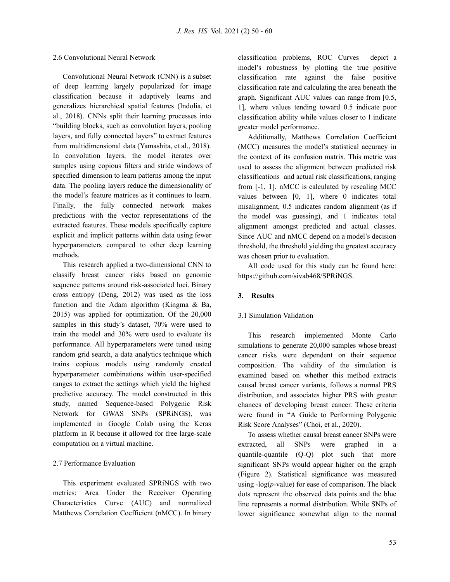#### 2.6 Convolutional Neural Network

Convolutional Neural Network (CNN) is a subset of deep learning largely popularized for image classification because it adaptively learns and generalizes hierarchical spatial features (Indolia, et al., 2018). CNNs split their learning processes into "building blocks, such as convolution layers, pooling layers, and fully connected layers" to extract features from multidimensional data (Yamashita, et al., 2018). In convolution layers, the model iterates over samples using copious filters and stride windows of specified dimension to learn patterns among the input data. The pooling layers reduce the dimensionality of the model's feature matrices as it continues to learn. Finally, the fully connected network makes predictions with the vector representations of the extracted features. These models specifically capture explicit and implicit patterns within data using fewer hyperparameters compared to other deep learning methods.

This research applied a two-dimensional CNN to classify breast cancer risks based on genomic sequence patterns around risk-associated loci. Binary cross entropy (Deng, 2012) was used as the loss function and the Adam algorithm (Kingma & Ba, 2015) was applied for optimization. Of the 20,000 samples in this study's dataset, 70% were used to train the model and 30% were used to evaluate its performance. All hyperparameters were tuned using random grid search, a data analytics technique which trains copious models using randomly created hyperparameter combinations within user-specified ranges to extract the settings which yield the highest predictive accuracy. The model constructed in this study, named Sequence-based Polygenic Risk Network for GWAS SNPs (SPRiNGS), was implemented in Google Colab using the Keras platform in R because it allowed for free large-scale computation on a virtual machine.

# 2.7 Performance Evaluation

This experiment evaluated SPRiNGS with two metrics: Area Under the Receiver Operating Characteristics Curve (AUC) and normalized Matthews Correlation Coefficient (nMCC). In binary

classification problems, ROC Curves depict a model's robustness by plotting the true positive classification rate against the false positive classification rate and calculating the area beneath the graph. Significant AUC values can range from [0.5, 1], where values tending toward 0.5 indicate poor classification ability while values closer to 1 indicate greater model performance.

Additionally, Matthews Correlation Coefficient (MCC) measures the model's statistical accuracy in the context of its confusion matrix. This metric was used to assess the alignment between predicted risk classifications and actual risk classifications, ranging from [-1, 1]. nMCC is calculated by rescaling MCC values between [0, 1], where 0 indicates total misalignment, 0.5 indicates random alignment (as if the model was guessing), and 1 indicates total alignment amongst predicted and actual classes. Since AUC and nMCC depend on a model's decision threshold, the threshold yielding the greatest accuracy was chosen prior to evaluation.

All code used for this study can be found here[:](https://github.com/sivab468/SPRiNGS) <https://github.com/sivab468/SPRiNGS>.

# **3. Results**

# 3.1 Simulation Validation

This research implemented Monte Carlo simulations to generate 20,000 samples whose breast cancer risks were dependent on their sequence composition. The validity of the simulation is examined based on whether this method extracts causal breast cancer variants, follows a normal PRS distribution, and associates higher PRS with greater chances of developing breast cancer. These criteria were found in "A Guide to Performing Polygenic Risk Score Analyses" (Choi, et al., 2020).

To assess whether causal breast cancer SNPs were extracted, all SNPs were graphed in a quantile-quantile (Q-Q) plot such that more significant SNPs would appear higher on the graph (Figure 2). Statistical significance was measured using -log(*p*-value) for ease of comparison. The black dots represent the observed data points and the blue line represents a normal distribution. While SNPs of lower significance somewhat align to the normal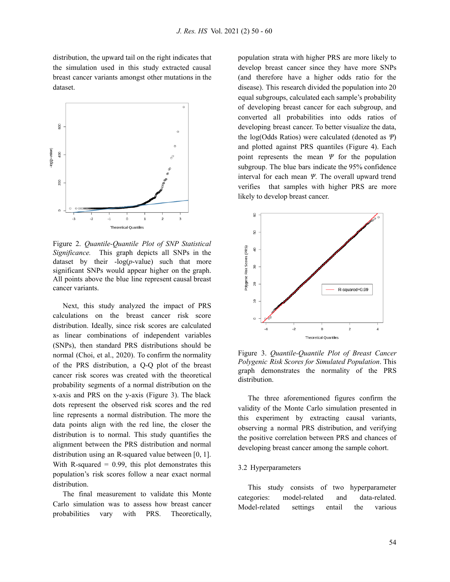distribution, the upward tail on the right indicates that the simulation used in this study extracted causal breast cancer variants amongst other mutations in the dataset.



Figure 2. *Quantile-Quantile Plot of SNP Statistical Significance.* This graph depicts all SNPs in the dataset by their  $-\log(p-\text{value})$  such that more significant SNPs would appear higher on the graph. All points above the blue line represent causal breast cancer variants.

Next, this study analyzed the impact of PRS calculations on the breast cancer risk score distribution. Ideally, since risk scores are calculated as linear combinations of independent variables (SNPs), then standard PRS distributions should be normal (Choi, et al., 2020). To confirm the normality of the PRS distribution, a Q-Q plot of the breast cancer risk scores was created with the theoretical probability segments of a normal distribution on the x-axis and PRS on the y-axis (Figure 3). The black dots represent the observed risk scores and the red line represents a normal distribution. The more the data points align with the red line, the closer the distribution is to normal. This study quantifies the alignment between the PRS distribution and normal distribution using an R-squared value between [0, 1]. With R-squared  $= 0.99$ , this plot demonstrates this population's risk scores follow a near exact normal distribution.

The final measurement to validate this Monte Carlo simulation was to assess how breast cancer probabilities vary with PRS. Theoretically,

population strata with higher PRS are more likely to develop breast cancer since they have more SNPs (and therefore have a higher odds ratio for the disease). This research divided the population into 20 equal subgroups, calculated each sample's probability of developing breast cancer for each subgroup, and converted all probabilities into odds ratios of developing breast cancer. To better visualize the data, the log(Odds Ratios) were calculated (denoted as *Ψ*) and plotted against PRS quantiles (Figure 4). Each point represents the mean *Ψ* for the population subgroup. The blue bars indicate the 95% confidence interval for each mean *Ψ*. The overall upward trend verifies that samples with higher PRS are more likely to develop breast cancer.



Figure 3. *Quantile-Quantile Plot of Breast Cancer Polygenic Risk Scores for Simulated Population*. This graph demonstrates the normality of the PRS distribution.

The three aforementioned figures confirm the validity of the Monte Carlo simulation presented in this experiment by extracting causal variants, observing a normal PRS distribution, and verifying the positive correlation between PRS and chances of developing breast cancer among the sample cohort.

# 3.2 Hyperparameters

This study consists of two hyperparameter categories: model-related and data-related. Model-related settings entail the various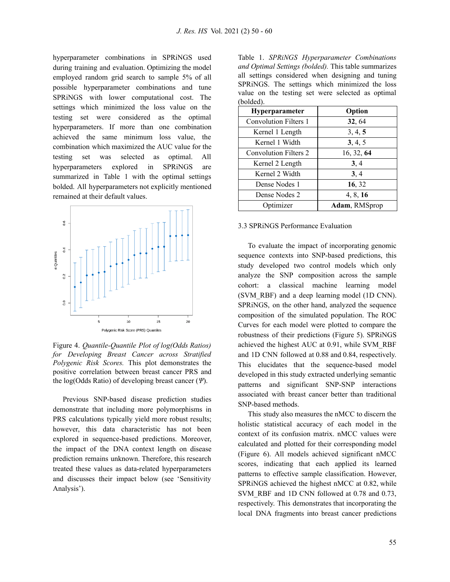hyperparameter combinations in SPRiNGS used during training and evaluation. Optimizing the model employed random grid search to sample 5% of all possible hyperparameter combinations and tune SPRiNGS with lower computational cost. The settings which minimized the loss value on the testing set were considered as the optimal hyperparameters. If more than one combination achieved the same minimum loss value, the combination which maximized the AUC value for the testing set was selected as optimal. All hyperparameters explored in SPRiNGS are summarized in Table 1 with the optimal settings bolded. All hyperparameters not explicitly mentioned remained at their default values.



Figure 4. *Quantile-Quantile Plot of log(Odds Ratios) for Developing Breast Cancer across Stratified Polygenic Risk Scores.* This plot demonstrates the positive correlation between breast cancer PRS and the log(Odds Ratio) of developing breast cancer (*Ψ*).

Previous SNP-based disease prediction studies demonstrate that including more polymorphisms in PRS calculations typically yield more robust results; however, this data characteristic has not been explored in sequence-based predictions. Moreover, the impact of the DNA context length on disease prediction remains unknown. Therefore, this research treated these values as data-related hyperparameters and discusses their impact below (see 'Sensitivity Analysis').

Table 1. *SPRiNGS Hyperparameter Combinations and Optimal Settings (bolded).* This table summarizes all settings considered when designing and tuning SPRiNGS. The settings which minimized the loss value on the testing set were selected as optimal (bolded).

| <b>Hyperparameter</b>        | Option        |
|------------------------------|---------------|
| <b>Convolution Filters 1</b> | 32, 64        |
| Kernel 1 Length              | 3, 4, 5       |
| Kernel 1 Width               | 3, 4, 5       |
| <b>Convolution Filters 2</b> | 16, 32, 64    |
| Kernel 2 Length              | 3, 4          |
| Kernel 2 Width               | 3, 4          |
| Dense Nodes 1                | 16, 32        |
| Dense Nodes 2                | 4, 8, 16      |
| Optimizer                    | Adam, RMSprop |

# 3.3 SPRiNGS Performance Evaluation

To evaluate the impact of incorporating genomic sequence contexts into SNP-based predictions, this study developed two control models which only analyze the SNP composition across the sample cohort: a classical machine learning model (SVM\_RBF) and a deep learning model (1D CNN). SPRiNGS, on the other hand, analyzed the sequence composition of the simulated population. The ROC Curves for each model were plotted to compare the robustness of their predictions (Figure 5). SPRiNGS achieved the highest AUC at 0.91, while SVM\_RBF and 1D CNN followed at 0.88 and 0.84, respectively. This elucidates that the sequence-based model developed in this study extracted underlying semantic patterns and significant SNP-SNP interactions associated with breast cancer better than traditional SNP-based methods.

This study also measures the nMCC to discern the holistic statistical accuracy of each model in the context of its confusion matrix. nMCC values were calculated and plotted for their corresponding model (Figure 6). All models achieved significant nMCC scores, indicating that each applied its learned patterns to effective sample classification. However, SPRiNGS achieved the highest nMCC at 0.82, while SVM\_RBF and 1D CNN followed at 0.78 and 0.73, respectively. This demonstrates that incorporating the local DNA fragments into breast cancer predictions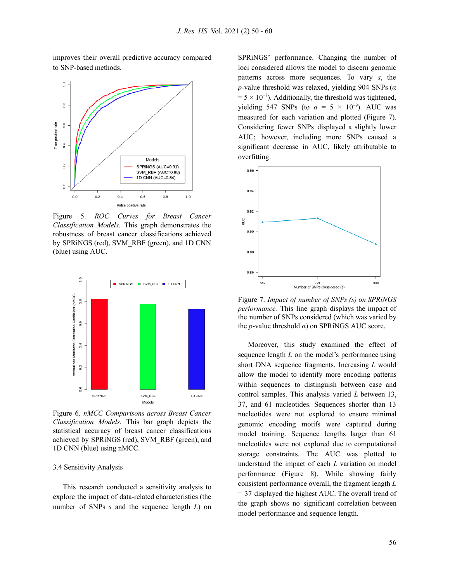

improves their overall predictive accuracy compared to SNP-based methods.

Figure 5. *ROC Curves for Breast Cancer Classification Models*. This graph demonstrates the robustness of breast cancer classifications achieved by SPRiNGS (red), SVM\_RBF (green), and 1D CNN (blue) using AUC.



Figure 6. *nMCC Comparisons across Breast Cancer Classification Models.* This bar graph depicts the statistical accuracy of breast cancer classifications achieved by SPRiNGS (red), SVM\_RBF (green), and 1D CNN (blue) using nMCC.

#### 3.4 Sensitivity Analysis

This research conducted a sensitivity analysis to explore the impact of data-related characteristics (the number of SNPs *s* and the sequence length *L*) on

SPRiNGS' performance. Changing the number of loci considered allows the model to discern genomic patterns across more sequences. To vary *s*, the *p*-value threshold was relaxed, yielding 904 SNPs (*α*  $= 5 \times 10^{-7}$ ). Additionally, the threshold was tightened, yielding 547 SNPs (to  $\alpha = 5 \times 10^{-9}$ ). AUC was measured for each variation and plotted (Figure 7). Considering fewer SNPs displayed a slightly lower AUC; however, including more SNPs caused a significant decrease in AUC, likely attributable to overfitting.



Figure 7. *Impact of number of SNPs (s) on SPRiNGS performance.* This line graph displays the impact of the number of SNPs considered (which was varied by the *p*-value threshold *α*) on SPRiNGS AUC score.

Moreover, this study examined the effect of sequence length *L* on the model's performance using short DNA sequence fragments. Increasing *L* would allow the model to identify more encoding patterns within sequences to distinguish between case and control samples. This analysis varied *L* between 13, 37, and 61 nucleotides. Sequences shorter than 13 nucleotides were not explored to ensure minimal genomic encoding motifs were captured during model training. Sequence lengths larger than 61 nucleotides were not explored due to computational storage constraints. The AUC was plotted to understand the impact of each *L* variation on model performance (Figure 8). While showing fairly consistent performance overall, the fragment length *L* = 37 displayed the highest AUC. The overall trend of the graph shows no significant correlation between model performance and sequence length.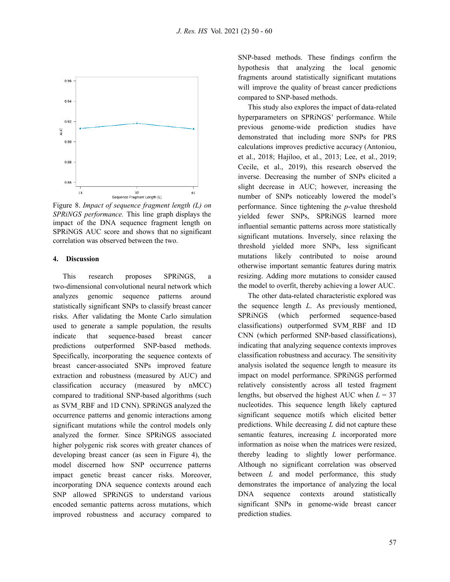

Figure 8. *Impact of sequence fragment length (L) on SPRiNGS performance.* This line graph displays the impact of the DNA sequence fragment length on SPRiNGS AUC score and shows that no significant correlation was observed between the two.

# **4. Discussion**

This research proposes SPRiNGS, a two-dimensional convolutional neural network which analyzes genomic sequence patterns around statistically significant SNPs to classify breast cancer risks. After validating the Monte Carlo simulation used to generate a sample population, the results indicate that sequence-based breast cancer predictions outperformed SNP-based methods. Specifically, incorporating the sequence contexts of breast cancer-associated SNPs improved feature extraction and robustness (measured by AUC) and classification accuracy (measured by nMCC) compared to traditional SNP-based algorithms (such as SVM\_RBF and 1D CNN). SPRiNGS analyzed the occurrence patterns and genomic interactions among significant mutations while the control models only analyzed the former. Since SPRiNGS associated higher polygenic risk scores with greater chances of developing breast cancer (as seen in Figure 4), the model discerned how SNP occurrence patterns impact genetic breast cancer risks. Moreover, incorporating DNA sequence contexts around each SNP allowed SPRiNGS to understand various encoded semantic patterns across mutations, which improved robustness and accuracy compared to

SNP-based methods. These findings confirm the hypothesis that analyzing the local genomic fragments around statistically significant mutations will improve the quality of breast cancer predictions compared to SNP-based methods.

This study also explores the impact of data-related hyperparameters on SPRiNGS' performance. While previous genome-wide prediction studies have demonstrated that including more SNPs for PRS calculations improves predictive accuracy (Antoniou, et al., 2018; Hajiloo, et al., 2013; Lee, et al., 2019; Cecile, et al., 2019), this research observed the inverse. Decreasing the number of SNPs elicited a slight decrease in AUC; however, increasing the number of SNPs noticeably lowered the model's performance. Since tightening the *p*-value threshold yielded fewer SNPs, SPRiNGS learned more influential semantic patterns across more statistically significant mutations. Inversely, since relaxing the threshold yielded more SNPs, less significant mutations likely contributed to noise around otherwise important semantic features during matrix resizing. Adding more mutations to consider caused the model to overfit, thereby achieving a lower AUC.

The other data-related characteristic explored was the sequence length *L*. As previously mentioned, SPRiNGS (which performed sequence-based classifications) outperformed SVM\_RBF and 1D CNN (which performed SNP-based classifications), indicating that analyzing sequence contexts improves classification robustness and accuracy. The sensitivity analysis isolated the sequence length to measure its impact on model performance. SPRiNGS performed relatively consistently across all tested fragment lengths, but observed the highest AUC when  $L = 37$ nucleotides. This sequence length likely captured significant sequence motifs which elicited better predictions. While decreasing *L* did not capture these semantic features, increasing *L* incorporated more information as noise when the matrices were resized, thereby leading to slightly lower performance. Although no significant correlation was observed between *L* and model performance, this study demonstrates the importance of analyzing the local DNA sequence contexts around statistically significant SNPs in genome-wide breast cancer prediction studies.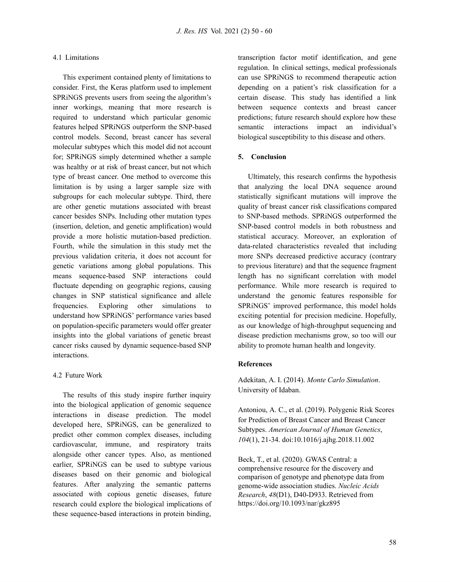#### 4.1 Limitations

This experiment contained plenty of limitations to consider. First, the Keras platform used to implement SPRiNGS prevents users from seeing the algorithm's inner workings, meaning that more research is required to understand which particular genomic features helped SPRiNGS outperform the SNP-based control models. Second, breast cancer has several molecular subtypes which this model did not account for; SPRiNGS simply determined whether a sample was healthy or at risk of breast cancer, but not which type of breast cancer. One method to overcome this limitation is by using a larger sample size with subgroups for each molecular subtype. Third, there are other genetic mutations associated with breast cancer besides SNPs. Including other mutation types (insertion, deletion, and genetic amplification) would provide a more holistic mutation-based prediction. Fourth, while the simulation in this study met the previous validation criteria, it does not account for genetic variations among global populations. This means sequence-based SNP interactions could fluctuate depending on geographic regions, causing changes in SNP statistical significance and allele frequencies. Exploring other simulations to understand how SPRiNGS' performance varies based on population-specific parameters would offer greater insights into the global variations of genetic breast cancer risks caused by dynamic sequence-based SNP interactions.

# 4.2 Future Work

The results of this study inspire further inquiry into the biological application of genomic sequence interactions in disease prediction. The model developed here, SPRiNGS, can be generalized to predict other common complex diseases, including cardiovascular, immune, and respiratory traits alongside other cancer types. Also, as mentioned earlier, SPRiNGS can be used to subtype various diseases based on their genomic and biological features. After analyzing the semantic patterns associated with copious genetic diseases, future research could explore the biological implications of these sequence-based interactions in protein binding,

transcription factor motif identification, and gene regulation. In clinical settings, medical professionals can use SPRiNGS to recommend therapeutic action depending on a patient's risk classification for a certain disease. This study has identified a link between sequence contexts and breast cancer predictions; future research should explore how these semantic interactions impact an individual's biological susceptibility to this disease and others.

# **5. Conclusion**

Ultimately, this research confirms the hypothesis that analyzing the local DNA sequence around statistically significant mutations will improve the quality of breast cancer risk classifications compared to SNP-based methods. SPRiNGS outperformed the SNP-based control models in both robustness and statistical accuracy. Moreover, an exploration of data-related characteristics revealed that including more SNPs decreased predictive accuracy (contrary to previous literature) and that the sequence fragment length has no significant correlation with model performance. While more research is required to understand the genomic features responsible for SPRiNGS' improved performance, this model holds exciting potential for precision medicine. Hopefully, as our knowledge of high-throughput sequencing and disease prediction mechanisms grow, so too will our ability to promote human health and longevity.

# **References**

Adekitan, A. I. (2014). *Monte Carlo Simulation*. University of Idaban.

Antoniou, A. C., et al. (2019). Polygenic Risk Scores for Prediction of Breast Cancer and Breast Cancer Subtypes. *American Journal of Human Genetics*, *104*(1), 21-34. doi:10.1016/j.ajhg.2018.11.002

Beck, T., et al. (2020). GWAS Central: a comprehensive resource for the discovery and comparison of genotype and phenotype data from genome-wide association studies. *Nucleic Acids Research*, *48*(D1), D40-D933. Retrieved fro[m](https://doi.org/10.1093/nar/gkz895) <https://doi.org/10.1093/nar/gkz895>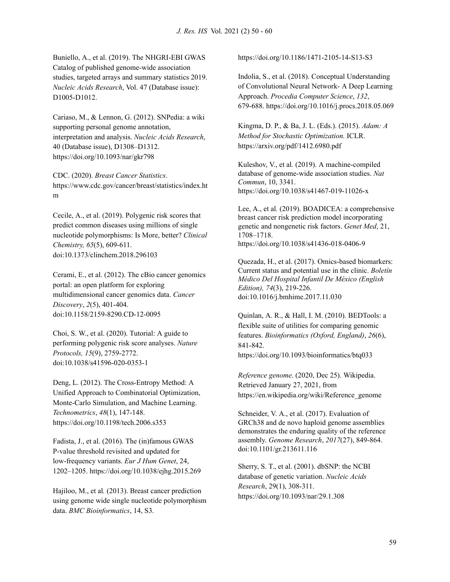Buniello, A., et al. (2019). The NHGRI-EBI GWAS Catalog of published genome-wide association studies, targeted arrays and summary statistics 2019. *Nucleic Acids Research*, Vol. 47 (Database issue): D1005-D1012.

Cariaso, M., & Lennon, G. (2012). SNPedia: a wiki supporting personal genome annotation, interpretation and analysis. *Nucleic Acids Research*, 40 (Database issue), D1308–D1312. https://doi.org/10.1093/nar/gkr798

CDC. (2020). *Breast Cancer Statistics*. https://www.cdc.gov/cancer/breast/statistics/index.ht m

Cecile, A., et al. (2019). Polygenic risk scores that predict common diseases using millions of single nucleotide polymorphisms: Is More, better? *Clinical Chemistry, 65*(5), 609-611. doi:10.1373/clinchem.2018.296103

Cerami, E., et al. (2012). The cBio cancer genomics portal: an open platform for exploring multidimensional cancer genomics data. *Cancer Discovery*, *2*(5), 401-404. doi:10.1158/2159-8290.CD-12-0095

Choi, S. W., et al. (2020). Tutorial: A guide to performing polygenic risk score analyses. *Nature Protocols, 15*(9), 2759-2772. doi:10.1038/s41596-020-0353-1

Deng, L. (2012). The Cross-Entropy Method: A Unified Approach to Combinatorial Optimization, Monte-Carlo Simulation, and Machine Learning. *Technometrics*, *48*(1), 147-148[.](https://doi.org/10.1198/tech.2006.s353) <https://doi.org/10.1198/tech.2006.s353>

Fadista, J., et al. (2016). The (in)famous GWAS P-value threshold revisited and updated for low-frequency variants. *Eur J Hum Genet*, 24, 1202–1205. <https://doi.org/10.1038/ejhg.2015.269>

Hajiloo, M., et al*.* (2013). Breast cancer prediction using genome wide single nucleotide polymorphism data. *BMC Bioinformatics*, 14, S3.

https://doi.org/10.1186/1471-2105-14-S13-S3

Indolia, S., et al. (2018). Conceptual Understanding of Convolutional Neural Network- A Deep Learning Approach. *Procedia Computer Science*, *132*, 679-688. <https://doi.org/10.1016/j.procs.2018.05.069>

Kingma, D. P., & Ba, J. L. (Eds.). (2015). *Adam: A Method for Stochastic Optimization.* ICLR. https://arxiv.org/pdf/1412.6980.pdf

Kuleshov, V., et al*.* (2019). A machine-compiled database of genome-wide association studies. *Nat Commun*, 10, 3341. <https://doi.org/10.1038/s41467-019-11026-x>

Lee, A., et al*.* (2019). BOADICEA: a comprehensive breast cancer risk prediction model incorporating genetic and nongenetic risk factors. *Genet Med*, 21, 1708–1718. https://doi.org/10.1038/s41436-018-0406-9

Quezada, H., et al. (2017). Omics-based biomarkers: Current status and potential use in the clinic. *Boletín Médico Del Hospital Infantil De México (English Edition), 74*(3), 219-226. doi:10.1016/j.bmhime.2017.11.030

Quinlan, A. R., & Hall, I. M. (2010). BEDTools: a flexible suite of utilities for comparing genomic features. *Bioinformatics (Oxford, England)*, *26*(6), 841-842. <https://doi.org/10.1093/bioinformatics/btq033>

*Reference genome*. (2020, Dec 25). Wikipedia. Retrieved January 27, 2021, fro[m](https://en.wikipedia.org/wiki/Reference_genome) [https://en.wikipedia.org/wiki/Reference\\_genome](https://en.wikipedia.org/wiki/Reference_genome)

Schneider, V. A., et al. (2017). Evaluation of GRCh38 and de novo haploid genome assemblies demonstrates the enduring quality of the reference assembly. *Genome Research*, *2017*(27), 849-864. doi:10.1101/gr.213611.116

Sherry, S. T., et al. (2001). dbSNP: the NCBI database of genetic variation. *Nucleic Acids Research*, 29(1), 308-311. <https://doi.org/10.1093/nar/29.1.308>